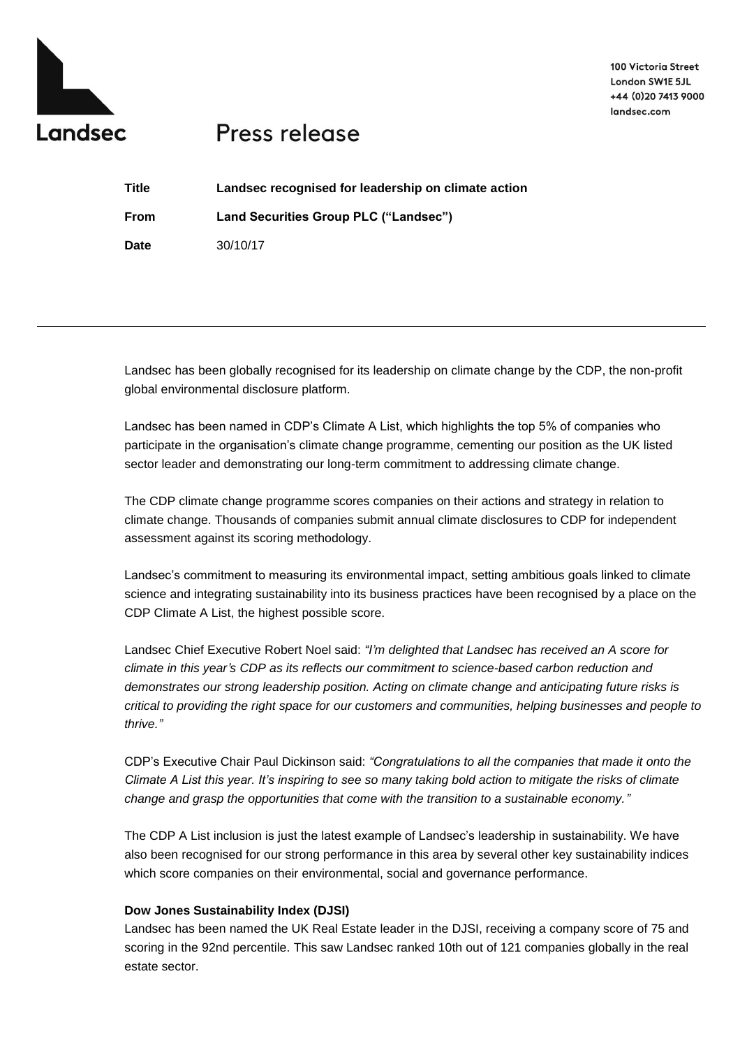

# Press release

| Title | Landsec recognised for leadership on climate action |
|-------|-----------------------------------------------------|
| From  | Land Securities Group PLC ("Landsec")               |
| Date  | 30/10/17                                            |

Landsec has been globally recognised for its leadership on climate change by the CDP, the non-profit global environmental disclosure platform.

Landsec has been named in CDP's Climate A List, which highlights the top 5% of companies who participate in the organisation's climate change programme, cementing our position as the UK listed sector leader and demonstrating our long-term commitment to addressing climate change.

The CDP climate change programme scores companies on their actions and strategy in relation to climate change. Thousands of companies submit annual climate disclosures to CDP for independent assessment against its scoring methodology.

Landsec's commitment to measuring its environmental impact, setting ambitious goals linked to climate science and integrating sustainability into its business practices have been recognised by a place on the CDP Climate A List, the highest possible score.

Landsec Chief Executive Robert Noel said: *"I'm delighted that Landsec has received an A score for climate in this year's CDP as its reflects our commitment to science-based carbon reduction and demonstrates our strong leadership position. Acting on climate change and anticipating future risks is critical to providing the right space for our customers and communities, helping businesses and people to thrive."*

CDP's Executive Chair Paul Dickinson said: *"Congratulations to all the companies that made it onto the Climate A List this year. It's inspiring to see so many taking bold action to mitigate the risks of climate change and grasp the opportunities that come with the transition to a sustainable economy."*

The CDP A List inclusion is just the latest example of Landsec's leadership in sustainability. We have also been recognised for our strong performance in this area by several other key sustainability indices which score companies on their environmental, social and governance performance.

### **Dow Jones Sustainability Index (DJSI)**

Landsec has been named the UK Real Estate leader in the DJSI, receiving a company score of 75 and scoring in the 92nd percentile. This saw Landsec ranked 10th out of 121 companies globally in the real estate sector.